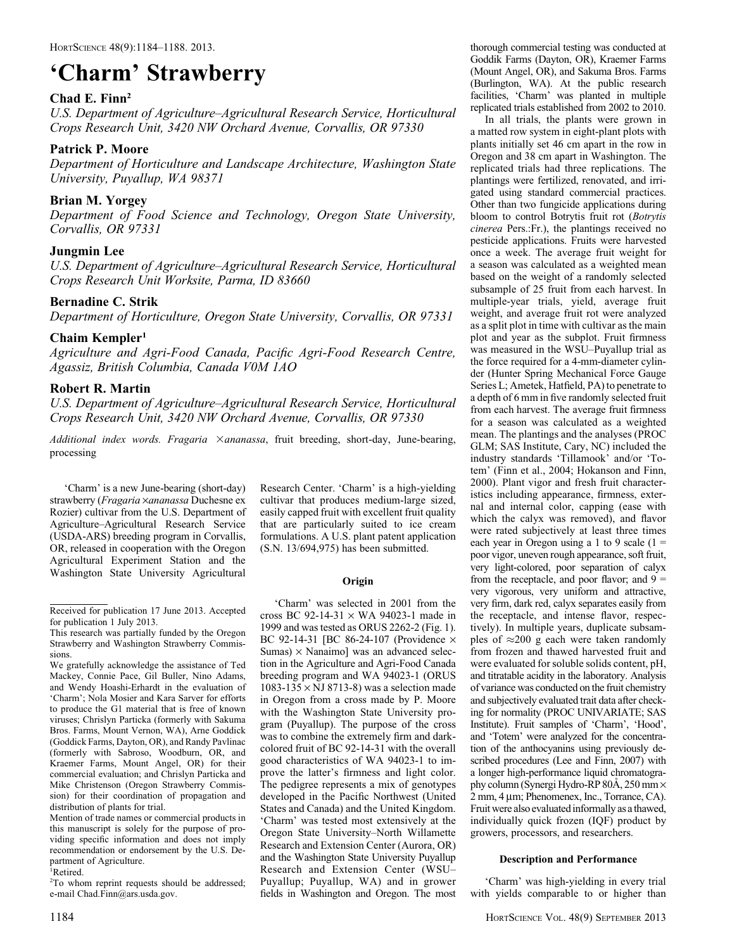# 'Charm' Strawberry

#### Chad E. Finn<sup>2</sup>

U.S. Department of Agriculture–Agricultural Research Service, Horticultural Crops Research Unit, 3420 NW Orchard Avenue, Corvallis, OR 97330

#### Patrick P. Moore

Department of Horticulture and Landscape Architecture, Washington State University, Puyallup, WA 98371

# Brian M. Yorgey

Department of Food Science and Technology, Oregon State University, Corvallis, OR 97331

# Jungmin Lee

U.S. Department of Agriculture–Agricultural Research Service, Horticultural Crops Research Unit Worksite, Parma, ID 83660

# Bernadine C. Strik

Department of Horticulture, Oregon State University, Corvallis, OR 97331

#### $Chain$  Kempler<sup>1</sup>

Agriculture and Agri-Food Canada, Pacific Agri-Food Research Centre, Agassiz, British Columbia, Canada V0M 1AO

# Robert R. Martin

U.S. Department of Agriculture–Agricultural Research Service, Horticultural Crops Research Unit, 3420 NW Orchard Avenue, Corvallis, OR 97330

Additional index words. Fragaria  $\times$ ananassa, fruit breeding, short-day, June-bearing, processing

'Charm' is a new June-bearing (short-day) strawberry (Fragaria ×ananassa Duchesne ex Rozier) cultivar from the U.S. Department of Agriculture–Agricultural Research Service (USDA-ARS) breeding program in Corvallis, OR, released in cooperation with the Oregon Agricultural Experiment Station and the Washington State University Agricultural

We gratefully acknowledge the assistance of Ted Mackey, Connie Pace, Gil Buller, Nino Adams, and Wendy Hoashi-Erhardt in the evaluation of 'Charm'; Nola Mosier and Kara Sarver for efforts to produce the G1 material that is free of known viruses; Chrislyn Particka (formerly with Sakuma Bros. Farms, Mount Vernon, WA), Arne Goddick (Goddick Farms, Dayton, OR), and Randy Pavlinac (formerly with Sabroso, Woodburn, OR, and Kraemer Farms, Mount Angel, OR) for their commercial evaluation; and Chrislyn Particka and Mike Christenson (Oregon Strawberry Commission) for their coordination of propagation and distribution of plants for trial.

Mention of trade names or commercial products in this manuscript is solely for the purpose of providing specific information and does not imply recommendation or endorsement by the U.S. Department of Agriculture.

1 Retired.

2 To whom reprint requests should be addressed; e-mail Chad.Finn@ars.usda.gov.

Research Center. 'Charm' is a high-yielding cultivar that produces medium-large sized, easily capped fruit with excellent fruit quality that are particularly suited to ice cream formulations. A U.S. plant patent application (S.N. 13/694,975) has been submitted.

#### **Origin**

'Charm' was selected in 2001 from the cross BC 92-14-31  $\times$  WA 94023-1 made in 1999 and was tested as ORUS 2262-2 (Fig. 1). BC 92-14-31 [BC 86-24-107 (Providence  $\times$ Sumas)  $\times$  Nanaimo] was an advanced selection in the Agriculture and Agri-Food Canada breeding program and WA 94023-1 (ORUS 1083-135  $\times$  NJ 8713-8) was a selection made in Oregon from a cross made by P. Moore with the Washington State University program (Puyallup). The purpose of the cross was to combine the extremely firm and darkcolored fruit of BC 92-14-31 with the overall good characteristics of WA 94023-1 to improve the latter's firmness and light color. The pedigree represents a mix of genotypes developed in the Pacific Northwest (United States and Canada) and the United Kingdom. 'Charm' was tested most extensively at the Oregon State University–North Willamette Research and Extension Center (Aurora, OR) and the Washington State University Puyallup Research and Extension Center (WSU– Puyallup; Puyallup, WA) and in grower fields in Washington and Oregon. The most

thorough commercial testing was conducted at Goddik Farms (Dayton, OR), Kraemer Farms (Mount Angel, OR), and Sakuma Bros. Farms (Burlington, WA). At the public research facilities, 'Charm' was planted in multiple replicated trials established from 2002 to 2010.

In all trials, the plants were grown in a matted row system in eight-plant plots with plants initially set 46 cm apart in the row in Oregon and 38 cm apart in Washington. The replicated trials had three replications. The plantings were fertilized, renovated, and irrigated using standard commercial practices. Other than two fungicide applications during bloom to control Botrytis fruit rot (Botrytis cinerea Pers.:Fr.), the plantings received no pesticide applications. Fruits were harvested once a week. The average fruit weight for a season was calculated as a weighted mean based on the weight of a randomly selected subsample of 25 fruit from each harvest. In multiple-year trials, yield, average fruit weight, and average fruit rot were analyzed as a split plot in time with cultivar as the main plot and year as the subplot. Fruit firmness was measured in the WSU–Puyallup trial as the force required for a 4-mm-diameter cylinder (Hunter Spring Mechanical Force Gauge Series L; Ametek, Hatfield, PA) to penetrate to a depth of 6 mm in five randomly selected fruit from each harvest. The average fruit firmness for a season was calculated as a weighted mean. The plantings and the analyses (PROC GLM; SAS Institute, Cary, NC) included the industry standards 'Tillamook' and/or 'Totem' (Finn et al., 2004; Hokanson and Finn, 2000). Plant vigor and fresh fruit characteristics including appearance, firmness, external and internal color, capping (ease with which the calyx was removed), and flavor were rated subjectively at least three times each year in Oregon using a 1 to 9 scale  $(1 =$ poor vigor, uneven rough appearance, soft fruit, very light-colored, poor separation of calyx from the receptacle, and poor flavor; and  $9 =$ very vigorous, very uniform and attractive, very firm, dark red, calyx separates easily from the receptacle, and intense flavor, respectively). In multiple years, duplicate subsamples of  $\approx$ 200 g each were taken randomly from frozen and thawed harvested fruit and were evaluated for soluble solids content, pH, and titratable acidity in the laboratory. Analysis of variance was conducted on the fruit chemistry and subjectively evaluated trait data after checking for normality (PROC UNIVARIATE; SAS Institute). Fruit samples of 'Charm', 'Hood', and 'Totem' were analyzed for the concentration of the anthocyanins using previously described procedures (Lee and Finn, 2007) with a longer high-performance liquid chromatography column (Synergi Hydro-RP 80Å, 250 mm  $\times$  $2 \text{ mm}$ ,  $4 \mu \text{ m}$ ; Phenomenex, Inc., Torrance, CA). Fruit were also evaluated informally as a thawed, individually quick frozen (IQF) product by growers, processors, and researchers.

#### Description and Performance

'Charm' was high-yielding in every trial with yields comparable to or higher than

Received for publication 17 June 2013. Accepted for publication 1 July 2013.

This research was partially funded by the Oregon Strawberry and Washington Strawberry Commissions.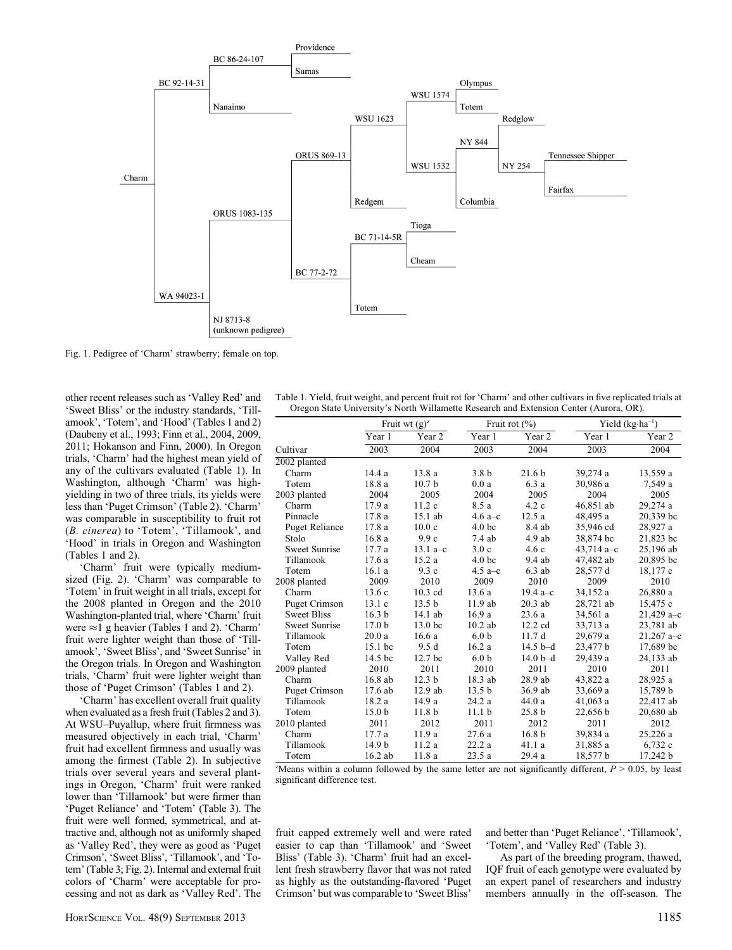

Fig. 1. Pedigree of 'Charm' strawberry; female on top.

other recent releases such as 'Valley Red' and 'Sweet Bliss' or the industry standards, 'Tillamook', 'Totem', and 'Hood' (Tables 1 and 2) (Daubeny et al., 1993; Finn et al., 2004, 2009, 2011; Hokanson and Finn, 2000). In Oregon trials, 'Charm' had the highest mean yield of any of the cultivars evaluated (Table 1). In Washington, although 'Charm' was highyielding in two of three trials, its yields were less than 'Puget Crimson' (Table 2). 'Charm' was comparable in susceptibility to fruit rot (B. cinerea) to 'Totem', 'Tillamook', and 'Hood' in trials in Oregon and Washington (Tables 1 and 2).

'Charm' fruit were typically mediumsized (Fig. 2). 'Charm' was comparable to 'Totem' in fruit weight in all trials, except for the 2008 planted in Oregon and the 2010 Washington-planted trial, where 'Charm' fruit were  $\approx$ 1 g heavier (Tables 1 and 2). 'Charm' fruit were lighter weight than those of 'Tillamook', 'Sweet Bliss', and 'Sweet Sunrise' in the Oregon trials. In Oregon and Washington trials, 'Charm' fruit were lighter weight than those of 'Puget Crimson' (Tables 1 and 2).

'Charm' has excellent overall fruit quality when evaluated as a fresh fruit (Tables 2 and 3). At WSU–Puyallup, where fruit firmness was measured objectively in each trial, 'Charm' fruit had excellent firmness and usually was among the firmest (Table 2). In subjective trials over several years and several plantings in Oregon, 'Charm' fruit were ranked lower than 'Tillamook' but were firmer than 'Puget Reliance' and 'Totem' (Table 3). The fruit were well formed, symmetrical, and attractive and, although not as uniformly shaped as 'Valley Red', they were as good as 'Puget Crimson', 'Sweet Bliss', 'Tillamook', and 'Totem' (Table 3; Fig. 2). Internal and external fruit colors of 'Charm' were acceptable for processing and not as dark as 'Valley Red'. The

| Table 1. Yield, fruit weight, and percent fruit rot for 'Charm' and other cultivars in five replicated trials at |  |
|------------------------------------------------------------------------------------------------------------------|--|
| Oregon State University's North Willamette Research and Extension Center (Aurora, OR).                           |  |

|                       | Fruit wt $(g)^z$  |                    |                   | Fruit rot $(\% )$ | Yield $(kg \cdot ha^{-1})$ |               |  |
|-----------------------|-------------------|--------------------|-------------------|-------------------|----------------------------|---------------|--|
|                       | Year 1            | Year 2             | Year 1            | Year 2            | Year 1                     | Year 2        |  |
| Cultivar              | 2003              | 2004               | 2003              | 2004              | 2003                       | 2004          |  |
| 2002 planted          |                   |                    |                   |                   |                            |               |  |
| Charm                 | 14.4 a            | 13.8a              | 3.8 <sub>b</sub>  | 21.6 <sub>b</sub> | 39,274 a                   | 13,559 a      |  |
| Totem                 | 18.8 a            | 10.7 <sub>b</sub>  | 0.0a              | 6.3 a             | 30,986 a                   | 7,549 a       |  |
| 2003 planted          | 2004              | 2005               | 2004              | 2005              | 2004                       | 2005          |  |
| Charm                 | 17.9 a            | 11.2c              | 8.5 a             | 4.2c              | 46,851 ab                  | 29,274 a      |  |
| Pinnacle              | 17.8 a            | $15.1$ ab          | 4.6 $a-c$         | 12.5a             | 48,495 a                   | 20,339 bc     |  |
| <b>Puget Reliance</b> | 17.8 a            | 10.0 <sub>c</sub>  | 4.0 <sub>bc</sub> | 8.4 ab            | 35,946 cd                  | 28,927 a      |  |
| Stolo                 | 16.8a             | 9.9c               | 7.4ab             | $4.9$ ab          | 38,874 bc                  | 21,823 bc     |  |
| <b>Sweet Sunrise</b>  | 17.7 a            | 13.1 $a-c$         | 3.0c              | 4.6c              | 43,714 $a-c$               | 25,196 ab     |  |
| Tillamook             | 17.6a             | 15.2a              | 4.0 <sub>bc</sub> | 9.4 ab            | 47,482 ab                  | 20,895 bc     |  |
| Totem                 | 16.1a             | 9.3c               | 4.5 a–c           | $6.3$ ab          | 28,577 d                   | 18,177 c      |  |
| 2008 planted          | 2009              | 2010               | 2009              | 2010              | 2009                       | 2010          |  |
| Charm                 | 13.6c             | $10.3$ cd          | 13.6a             | 19.4 $a-c$        | 34,152 a                   | 26,880 a      |  |
| <b>Puget Crimson</b>  | 13.1c             | 13.5 <sub>b</sub>  | 11.9ab            | $20.3$ ab         | 28,721 ab                  | 15,475 c      |  |
| <b>Sweet Bliss</b>    | 16.3 <sub>b</sub> | $14.1$ ab          | 16.9a             | 23.6a             | 34,561 a                   | $21,429a - c$ |  |
| <b>Sweet Sunrise</b>  | 17.0 <sub>b</sub> | 13.0 bc            | $10.2$ ab         | 12.2 cd           | 33,713 a                   | 23,781 ab     |  |
| Tillamook             | 20.0a             | 16.6a              | 6.0 <sub>b</sub>  | 11.7d             | 29,679 a                   | $21,267$ a-c  |  |
| Totem                 | $15.1$ bc         | 9.5 d              | 16.2a             | $14.5 b-d$        | 23,477 b                   | 17,689 bc     |  |
| Valley Red            | 14.5 bc           | 12.7 <sub>bc</sub> | 6.0 <sub>b</sub>  | $14.0b-d$         | 29,439 a                   | 24,133 ab     |  |
| 2009 planted          | 2010              | 2011               | 2010              | 2011              | 2010                       | 2011          |  |
| Charm                 | 16.8 ab           | 12.3 <sub>b</sub>  | 18.3 ab           | 28.9 ab           | 43,822 a                   | 28,925 a      |  |
| <b>Puget Crimson</b>  | 17.6 ab           | $12.9$ ab          | 13.5 <sub>b</sub> | 36.9 ab           | 33,669 a                   | 15,789 b      |  |
| Tillamook             | 18.2 a            | 14.9a              | 24.2 a            | 44.0a             | $41,063$ a                 | 22,417 ab     |  |
| Totem                 | 15.0 <sub>b</sub> | 11.8 <sub>b</sub>  | 11.1 <sub>b</sub> | 25.8 <sub>b</sub> | 22,656 b                   | 20,680 ab     |  |
| 2010 planted          | 2011              | 2012               | 2011              | 2012              | 2011                       | 2012          |  |
| Charm                 | 17.7 a            | 11.9a              | 27.6a             | 16.8 <sub>b</sub> | 39,834 a                   | 25,226 a      |  |
| Tillamook             | 14.9 <sub>b</sub> | 11.2 a             | 22.2a             | 41.1 a            | 31,885 a                   | 6,732 c       |  |
| Totem                 | $16.2$ ab         | 11.8 a             | 23.5a             | 29.4 a            | 18,577 b                   | 17,242 b      |  |

"Means within a column followed by the same letter are not significantly different,  $P > 0.05$ , by least significant difference test.

fruit capped extremely well and were rated easier to cap than 'Tillamook' and 'Sweet Bliss' (Table 3). 'Charm' fruit had an excellent fresh strawberry flavor that was not rated as highly as the outstanding-flavored 'Puget Crimson' but was comparable to 'Sweet Bliss'

and better than 'Puget Reliance', 'Tillamook', 'Totem', and 'Valley Red' (Table 3).

As part of the breeding program, thawed, IQF fruit of each genotype were evaluated by an expert panel of researchers and industry members annually in the off-season. The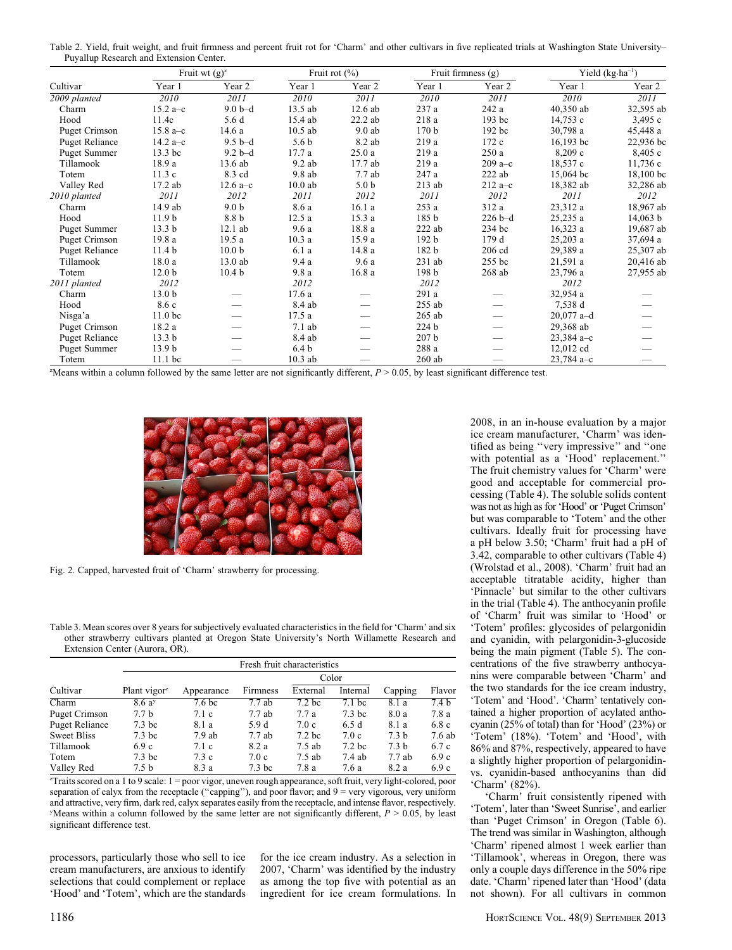Table 2. Yield, fruit weight, and fruit firmness and percent fruit rot for 'Charm' and other cultivars in five replicated trials at Washington State University– Puyallup Research and Extension Center.

|                       | Fruit wt $(g)^z$   |                   |                  | Fruit rot $(\% )$ |                  | Fruit firmness (g) |              | Yield $(kg \cdot ha^{-1})$ |  |
|-----------------------|--------------------|-------------------|------------------|-------------------|------------------|--------------------|--------------|----------------------------|--|
| Cultivar              | Year 1             | Year 2            | Year 1           | Year 2            | Year 1           | Year 2             | Year 1       | Year 2                     |  |
| 2009 planted          | 2010               | 2011              | 2010             | 2011              | 2010             | 2011               | 2010         | 2011                       |  |
| Charm                 | 15.2 $a-c$         | $9.0b-d$          | 13.5 ab          | $12.6$ ab         | 237 a            | 242 a              | 40,350 ab    | 32,595 ab                  |  |
| Hood                  | 11.4c              | 5.6 d             | 15.4 ab          | 22.2 ab           | 218 a            | 193 bc             | 14,753c      | 3,495 c                    |  |
| Puget Crimson         | 15.8 $a-c$         | 14.6 a            | $10.5$ ab        | $9.0$ ab          | 170 <sub>b</sub> | 192 bc             | 30,798a      | 45,448 a                   |  |
| <b>Puget Reliance</b> | 14.2 $a-c$         | $9.5b-d$          | 5.6 <sub>b</sub> | 8.2 ab            | 219 a            | 172 c              | $16,193$ bc  | 22,936 bc                  |  |
| <b>Puget Summer</b>   | 13.3 bc            | $9.2b-d$          | 17.7a            | 25.0a             | 219 a            | 250a               | 8,209c       | 8,405c                     |  |
| Tillamook             | 18.9 a             | 13.6 ab           | $9.2$ ab         | 17.7 ab           | 219 a            | $209a - c$         | 18,537 c     | 11,736c                    |  |
| Totem                 | 11.3c              | 8.3 cd            | 9.8 ab           | 7.7ab             | 247 a            | $222$ ab           | 15,064 bc    | $18,100$ bc                |  |
| Valley Red            | 17.2 ab            | 12.6 $a - c$      | $10.0$ ab        | 5.0 <sub>b</sub>  | $213$ ab         | $212a - c$         | 18,382 ab    | 32,286 ab                  |  |
| 2010 planted          | 2011               | 2012              | 2011             | 2012              | 2011             | 2012               | 2011         | 2012                       |  |
| Charm                 | 14.9 ab            | 9.0 <sub>b</sub>  | 8.6 a            | 16.1a             | 253 a            | 312 a              | 23,312 a     | 18,967 ab                  |  |
| Hood                  | 11.9 <sub>b</sub>  | 8.8 b             | 12.5a            | 15.3a             | 185 <sub>b</sub> | $226 b - d$        | 25,235 a     | 14,063 b                   |  |
| <b>Puget Summer</b>   | 13.3 <sub>b</sub>  | $12.1$ ab         | 9.6a             | 18.8 a            | $222$ ab         | 234 bc             | 16,323a      | 19,687 ab                  |  |
| Puget Crimson         | 19.8 a             | 19.5a             | 10.3a            | 15.9 a            | 192 <sub>b</sub> | 179 d              | $25,203$ a   | 37,694 a                   |  |
| <b>Puget Reliance</b> | 11.4 <sub>b</sub>  | 10.0 <sub>b</sub> | 6.1a             | 14.8 a            | 182 b            | $206$ cd           | 29,389 a     | 25,307 ab                  |  |
| Tillamook             | 18.0 a             | 13.0 ab           | 9.4a             | 9.6a              | $231$ ab         | 255 bc             | 21,591 a     | 20,416 ab                  |  |
| Totem                 | 12.0 <sub>b</sub>  | 10.4 <sub>b</sub> | 9.8a             | 16.8a             | 198 b            | $268$ ab           | 23,796 a     | 27,955 ab                  |  |
| 2011 planted          | 2012               |                   | 2012             |                   | 2012             |                    | 2012         |                            |  |
| Charm                 | 13.0 <sub>b</sub>  |                   | 17.6 a           |                   | 291 a            |                    | 32,954 a     |                            |  |
| Hood                  | 8.6 c              |                   | 8.4 ab           |                   | $255$ ab         |                    | 7,538 d      |                            |  |
| Nisga'a               | 11.0 <sub>bc</sub> |                   | 17.5a            |                   | $265$ ab         |                    | $20,077$ a-d |                            |  |
| Puget Crimson         | 18.2 a             |                   | 7.1ab            |                   | 224 <sub>b</sub> |                    | 29,368 ab    |                            |  |
| <b>Puget Reliance</b> | 13.3 <sub>b</sub>  |                   | 8.4 ab           |                   | 207 <sub>b</sub> |                    | $23,384$ a-c |                            |  |
| Puget Summer          | 13.9 <sub>b</sub>  |                   | 6.4 <sub>b</sub> |                   | 288 a            |                    | 12,012 cd    |                            |  |
| Totem                 | $11.1$ bc          |                   | $10.3$ ab        |                   | $260$ ab         | –                  | $23,784$ a-c |                            |  |

 $^{2}$ Means within a column followed by the same letter are not significantly different,  $P > 0.05$ , by least significant difference test.



Fig. 2. Capped, harvested fruit of 'Charm' strawberry for processing.

Table 3. Mean scores over 8 years for subjectively evaluated characteristics in the field for 'Charm' and six other strawberry cultivars planted at Oregon State University's North Willamette Research and Extension Center (Aurora, OR).

|                      | Fresh fruit characteristics |                   |                   |                   |                   |                  |                  |  |
|----------------------|-----------------------------|-------------------|-------------------|-------------------|-------------------|------------------|------------------|--|
|                      |                             |                   |                   | Color             |                   |                  |                  |  |
| Cultivar             | Plant vigor <sup>2</sup>    | Appearance        | Firmness          | External          | Internal          | Capping          | Flavor           |  |
| Charm                | 8.6a <sup>y</sup>           | 7.6 <sub>bc</sub> | 7.7ab             | 7.2 <sub>bc</sub> | $7.1$ bc          | 8.1 a            | 7.4 <sub>b</sub> |  |
| <b>Puget Crimson</b> | 7.7 <sub>b</sub>            | 7.1 c             | 7.7ab             | 7.7a              | 7.3 <sub>bc</sub> | 8.0 a            | 7.8 a            |  |
| Puget Reliance       | 7.3 <sub>bc</sub>           | 8.1 a             | 5.9 d             | 7.0c              | 6.5 d             | 8.1 a            | 6.8c             |  |
| <b>Sweet Bliss</b>   | 7.3 <sub>bc</sub>           | $7.9$ ab          | 7.7ab             | 7.2 <sub>bc</sub> | 7.0c              | 7.3 <sub>b</sub> | 7.6 ab           |  |
| Tillamook            | 6.9c                        | 7.1c              | 8.2a              | $7.5$ ab          | 7.2 <sub>bc</sub> | 7.3 <sub>b</sub> | 6.7c             |  |
| Totem                | 7.3 <sub>bc</sub>           | 7.3c              | 7.0c              | $7.5$ ab          | 7.4ab             | 7.7ab            | 6.9c             |  |
| Valley Red           | 7.5 <sub>b</sub>            | 8.3 a             | 7.3 <sub>bc</sub> | 7.8 a             | 7.6 a             | 8.2 a            | 6.9c             |  |

z Traits scored on a 1 to 9 scale: 1 = poor vigor, uneven rough appearance, soft fruit, very light-colored, poor separation of calyx from the receptacle ("capping"), and poor flavor; and  $9$  = very vigorous, very uniform and attractive, very firm, dark red, calyx separates easily from the receptacle, and intense flavor, respectively.  $y$ Means within a column followed by the same letter are not significantly different,  $P > 0.05$ , by least significant difference test.

processors, particularly those who sell to ice cream manufacturers, are anxious to identify selections that could complement or replace 'Hood' and 'Totem', which are the standards

for the ice cream industry. As a selection in 2007, 'Charm' was identified by the industry as among the top five with potential as an ingredient for ice cream formulations. In

2008, in an in-house evaluation by a major ice cream manufacturer, 'Charm' was identified as being ''very impressive'' and ''one with potential as a 'Hood' replacement.'' The fruit chemistry values for 'Charm' were good and acceptable for commercial processing (Table 4). The soluble solids content was not as high as for 'Hood' or 'Puget Crimson' but was comparable to 'Totem' and the other cultivars. Ideally fruit for processing have a pH below 3.50; 'Charm' fruit had a pH of 3.42, comparable to other cultivars (Table 4) (Wrolstad et al., 2008). 'Charm' fruit had an acceptable titratable acidity, higher than 'Pinnacle' but similar to the other cultivars in the trial (Table 4). The anthocyanin profile of 'Charm' fruit was similar to 'Hood' or 'Totem' profiles: glycosides of pelargonidin and cyanidin, with pelargonidin-3-glucoside being the main pigment (Table 5). The concentrations of the five strawberry anthocyanins were comparable between 'Charm' and the two standards for the ice cream industry, 'Totem' and 'Hood'. 'Charm' tentatively contained a higher proportion of acylated anthocyanin (25% of total) than for 'Hood' (23%) or 'Totem' (18%). 'Totem' and 'Hood', with 86% and 87%, respectively, appeared to have a slightly higher proportion of pelargonidinvs. cyanidin-based anthocyanins than did 'Charm' (82%).

'Charm' fruit consistently ripened with 'Totem', later than 'Sweet Sunrise', and earlier than 'Puget Crimson' in Oregon (Table 6). The trend was similar in Washington, although 'Charm' ripened almost 1 week earlier than 'Tillamook', whereas in Oregon, there was only a couple days difference in the 50% ripe date. 'Charm' ripened later than 'Hood' (data not shown). For all cultivars in common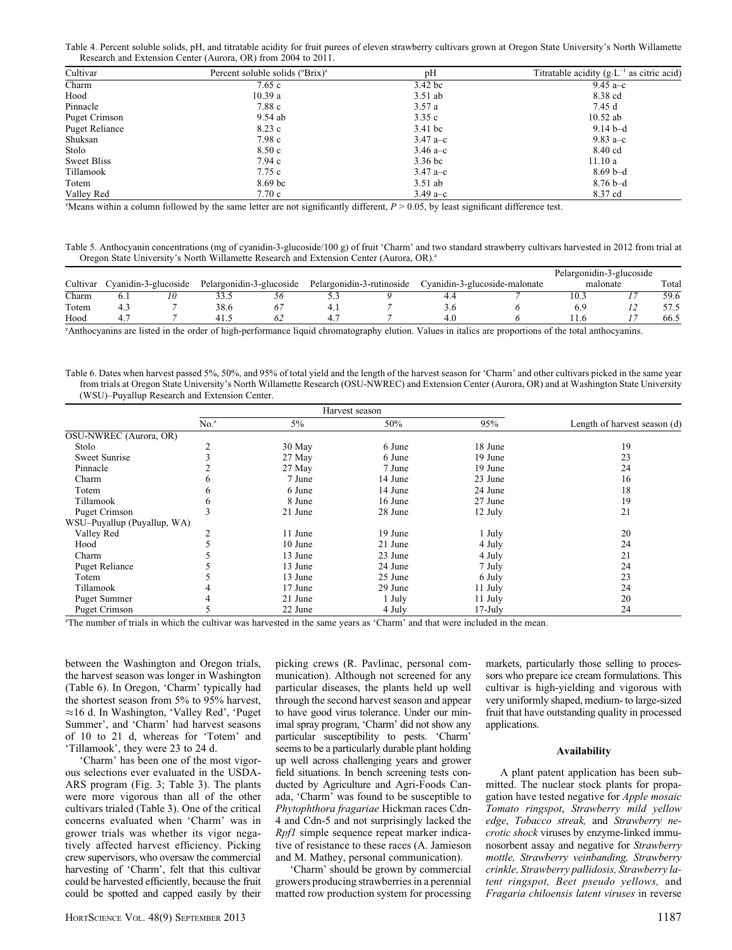Table 4. Percent soluble solids, pH, and titratable acidity for fruit purees of eleven strawberry cultivars grown at Oregon State University's North Willamette Research and Extension Center (Aurora, OR) from 2004 to 2011.

| Cultivar              | Percent soluble solids $(^{\circ}Brix)^{z}$ | pH         | Titratable acidity $(g \cdot L^{-1})$ as citric acid) |
|-----------------------|---------------------------------------------|------------|-------------------------------------------------------|
| Charm                 | 7.65c                                       | 3.42 bc    | 9.45 $a-c$                                            |
| Hood                  | 10.39a                                      | $3.51$ ab  | 8.38 cd                                               |
| Pinnacle              | 7.88 c                                      | 3.57a      | 7.45 d                                                |
| Puget Crimson         | 9.54 ab                                     | 3.35c      | $10.52$ ab                                            |
| <b>Puget Reliance</b> | 8.23 c                                      | 3.41 bc    | $9.14b-d$                                             |
| Shuksan               | 7.98c                                       | $3.47 a-c$ | 9.83 a–c                                              |
| Stolo                 | 8.50c                                       | 3.46 $a-c$ | 8.40 cd                                               |
| <b>Sweet Bliss</b>    | 7.94c                                       | 3.36 bc    | 11.10a                                                |
| Tillamook             | 7.75 c                                      | $3.47 a-c$ | $8.69b-d$                                             |
| Totem                 | 8.69 bc                                     | $3.51$ ab  | $8.76b-d$                                             |
| Valley Red            | 7.70c                                       | 3.49 $a-c$ | 8.37 cd                                               |

"Means within a column followed by the same letter are not significantly different,  $P > 0.05$ , by least significant difference test.

Table 5. Anthocyanin concentrations (mg of cyanidin-3-glucoside/100 g) of fruit 'Charm' and two standard strawberry cultivars harvested in 2012 from trial at Oregon State University's North Willamette Research and Extension Center (Aurora, OR).<sup>2</sup>

|          |     |                      |                          |    |                           |    |                               | Pelargonidin-3-glucoside |       |
|----------|-----|----------------------|--------------------------|----|---------------------------|----|-------------------------------|--------------------------|-------|
| Cultivar |     | Cvanidin-3-glucoside | Pelargonidin-3-glucoside |    | Pelargonidin-3-rutinoside |    | Cyanidin-3-glucoside-malonate | malonate                 | Total |
| Charm    | 0.1 | 1 U                  |                          | JО | -∽                        | 44 |                               | 0.3                      | 59.6  |
| Totem    |     |                      | 38.6                     |    |                           |    |                               |                          |       |
| Hood     |     |                      |                          |    |                           | 4. |                               |                          | 66.5  |

z Anthocyanins are listed in the order of high-performance liquid chromatography elution. Values in italics are proportions of the total anthocyanins.

Table 6. Dates when harvest passed 5%, 50%, and 95% of total yield and the length of the harvest season for 'Charm' and other cultivars picked in the same year from trials at Oregon State University's North Willamette Research (OSU-NWREC) and Extension Center (Aurora, OR) and at Washington State University (WSU)–Puyallup Research and Extension Center.

|                             |                  | Harvest season |         |            |                              |
|-----------------------------|------------------|----------------|---------|------------|------------------------------|
|                             | No. <sup>z</sup> | $5\%$          | 50%     | 95%        | Length of harvest season (d) |
| OSU-NWREC (Aurora, OR)      |                  |                |         |            |                              |
| Stolo                       |                  | 30 May         | 6 June  | 18 June    | 19                           |
| Sweet Sunrise               |                  | 27 May         | 6 June  | 19 June    | 23                           |
| Pinnacle                    |                  | 27 May         | 7 June  | 19 June    | 24                           |
| Charm                       |                  | 7 June         | 14 June | 23 June    | 16                           |
| Totem                       |                  | 6 June         | 14 June | 24 June    | 18                           |
| Tillamook                   |                  | 8 June         | 16 June | 27 June    | 19                           |
| Puget Crimson               |                  | 21 June        | 28 June | 12 July    | 21                           |
| WSU-Puyallup (Puyallup, WA) |                  |                |         |            |                              |
| Valley Red                  |                  | 11 June        | 19 June | 1 July     | 20                           |
| Hood                        |                  | 10 June        | 21 June | 4 July     | 24                           |
| Charm                       |                  | 13 June        | 23 June | 4 July     | 21                           |
| <b>Puget Reliance</b>       |                  | 13 June        | 24 June | 7 July     | 24                           |
| Totem                       |                  | 13 June        | 25 June | 6 July     | 23                           |
| Tillamook                   |                  | 17 June        | 29 June | 11 July    | 24                           |
| <b>Puget Summer</b>         |                  | 21 June        | 1 July  | 11 July    | 20                           |
| Puget Crimson               |                  | 22 June        | 4 July  | $17$ -July | 24                           |

z The number of trials in which the cultivar was harvested in the same years as 'Charm' and that were included in the mean.

between the Washington and Oregon trials, the harvest season was longer in Washington (Table 6). In Oregon, 'Charm' typically had the shortest season from 5% to 95% harvest, -16 d. In Washington, 'Valley Red', 'Puget Summer', and 'Charm' had harvest seasons of 10 to 21 d, whereas for 'Totem' and 'Tillamook', they were 23 to 24 d.

'Charm' has been one of the most vigorous selections ever evaluated in the USDA-ARS program (Fig. 3; Table 3). The plants were more vigorous than all of the other cultivars trialed (Table 3). One of the critical concerns evaluated when 'Charm' was in grower trials was whether its vigor negatively affected harvest efficiency. Picking crew supervisors, who oversaw the commercial harvesting of 'Charm', felt that this cultivar could be harvested efficiently, because the fruit could be spotted and capped easily by their

picking crews (R. Pavlinac, personal communication). Although not screened for any particular diseases, the plants held up well through the second harvest season and appear to have good virus tolerance. Under our minimal spray program, 'Charm' did not show any particular susceptibility to pests. 'Charm' seems to be a particularly durable plant holding up well across challenging years and grower field situations. In bench screening tests conducted by Agriculture and Agri-Foods Canada, 'Charm' was found to be susceptible to Phytophthora fragariae Hickman races Cdn-4 and Cdn-5 and not surprisingly lacked the Rpf1 simple sequence repeat marker indicative of resistance to these races (A. Jamieson and M. Mathey, personal communication).

'Charm' should be grown by commercial growers producing strawberries in a perennial matted row production system for processing markets, particularly those selling to processors who prepare ice cream formulations. This cultivar is high-yielding and vigorous with very uniformly shaped, medium- to large-sized fruit that have outstanding quality in processed applications.

#### Availability

A plant patent application has been submitted. The nuclear stock plants for propagation have tested negative for Apple mosaic Tomato ringspot, Strawberry mild yellow edge, Tobacco streak, and Strawberry necrotic shock viruses by enzyme-linked immunosorbent assay and negative for Strawberry mottle, Strawberry veinbanding, Strawberry crinkle, Strawberry pallidosis, Strawberry latent ringspot, Beet pseudo yellows, and Fragaria chiloensis latent viruses in reverse